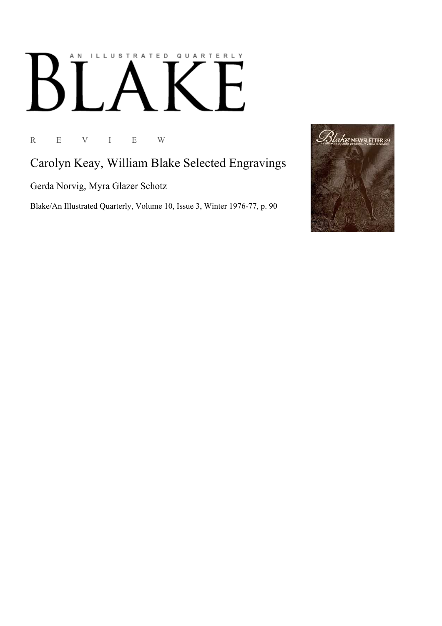## AN ILLUSTRATED QUARTERLY  $\lceil$ Ӄ

R E V I E W

Carolyn Keay, William Blake Selected Engravings

Gerda Norvig, Myra Glazer Schotz

Blake/An Illustrated Quarterly, Volume 10, Issue 3, Winter 1976-77, p. 90